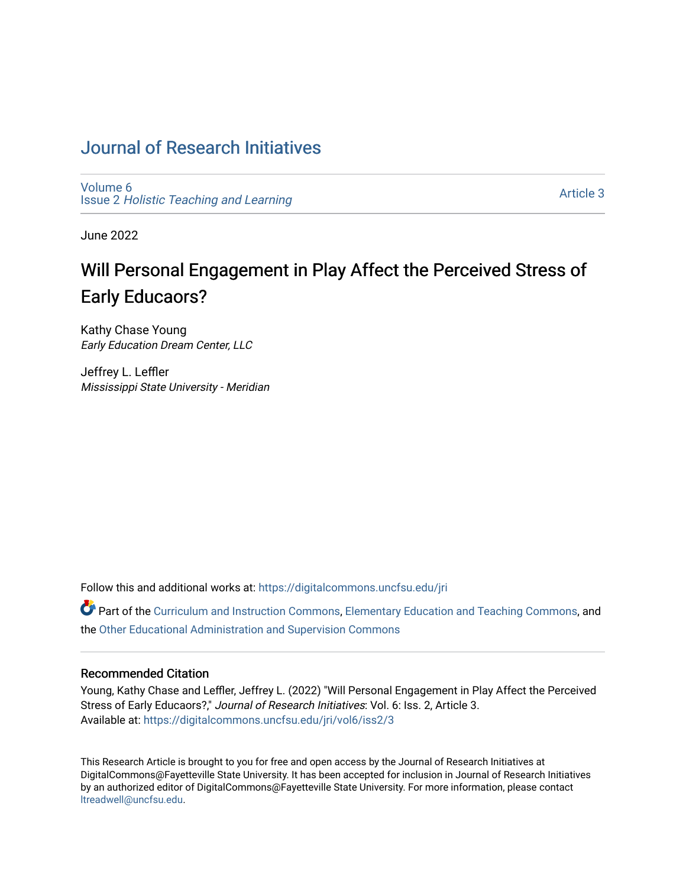# [Journal of Research Initiatives](https://digitalcommons.uncfsu.edu/jri)

[Volume 6](https://digitalcommons.uncfsu.edu/jri/vol6) Issue 2 [Holistic Teaching and Learning](https://digitalcommons.uncfsu.edu/jri/vol6/iss2)

[Article 3](https://digitalcommons.uncfsu.edu/jri/vol6/iss2/3) 

June 2022

# Will Personal Engagement in Play Affect the Perceived Stress of Early Educaors?

Kathy Chase Young Early Education Dream Center, LLC

Jeffrey L. Leffler Mississippi State University - Meridian

Follow this and additional works at: [https://digitalcommons.uncfsu.edu/jri](https://digitalcommons.uncfsu.edu/jri?utm_source=digitalcommons.uncfsu.edu%2Fjri%2Fvol6%2Fiss2%2F3&utm_medium=PDF&utm_campaign=PDFCoverPages) 

**C** Part of the [Curriculum and Instruction Commons,](https://network.bepress.com/hgg/discipline/786?utm_source=digitalcommons.uncfsu.edu%2Fjri%2Fvol6%2Fiss2%2F3&utm_medium=PDF&utm_campaign=PDFCoverPages) [Elementary Education and Teaching Commons,](https://network.bepress.com/hgg/discipline/805?utm_source=digitalcommons.uncfsu.edu%2Fjri%2Fvol6%2Fiss2%2F3&utm_medium=PDF&utm_campaign=PDFCoverPages) and the [Other Educational Administration and Supervision Commons](https://network.bepress.com/hgg/discipline/794?utm_source=digitalcommons.uncfsu.edu%2Fjri%2Fvol6%2Fiss2%2F3&utm_medium=PDF&utm_campaign=PDFCoverPages)

#### Recommended Citation

Young, Kathy Chase and Leffler, Jeffrey L. (2022) "Will Personal Engagement in Play Affect the Perceived Stress of Early Educaors?," Journal of Research Initiatives: Vol. 6: Iss. 2, Article 3. Available at: [https://digitalcommons.uncfsu.edu/jri/vol6/iss2/3](https://digitalcommons.uncfsu.edu/jri/vol6/iss2/3?utm_source=digitalcommons.uncfsu.edu%2Fjri%2Fvol6%2Fiss2%2F3&utm_medium=PDF&utm_campaign=PDFCoverPages) 

This Research Article is brought to you for free and open access by the Journal of Research Initiatives at DigitalCommons@Fayetteville State University. It has been accepted for inclusion in Journal of Research Initiatives by an authorized editor of DigitalCommons@Fayetteville State University. For more information, please contact [ltreadwell@uncfsu.edu](mailto:ltreadwell@uncfsu.edu).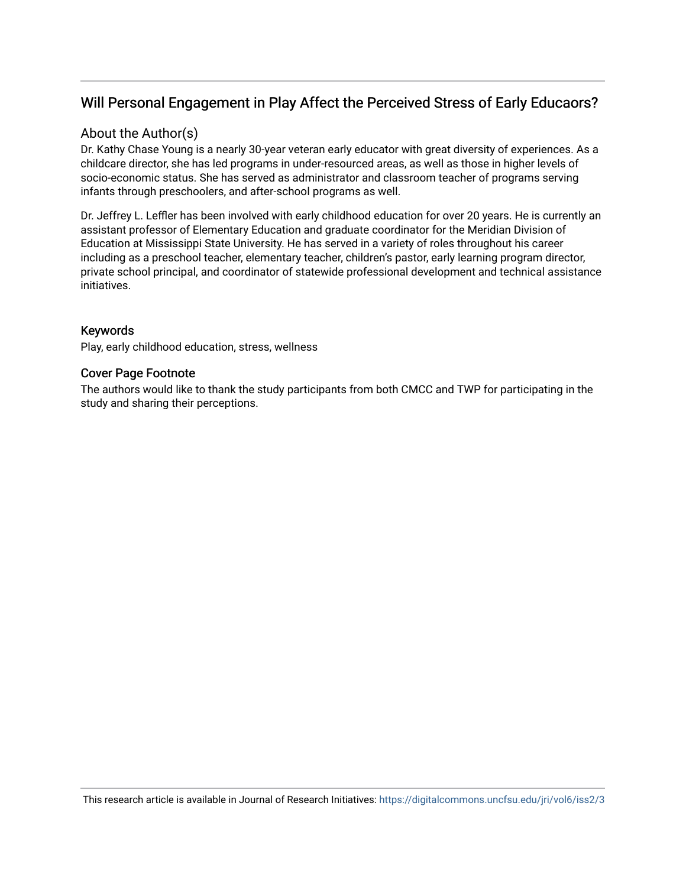## Will Personal Engagement in Play Affect the Perceived Stress of Early Educaors?

#### About the Author(s)

Dr. Kathy Chase Young is a nearly 30-year veteran early educator with great diversity of experiences. As a childcare director, she has led programs in under-resourced areas, as well as those in higher levels of socio-economic status. She has served as administrator and classroom teacher of programs serving infants through preschoolers, and after-school programs as well.

Dr. Jeffrey L. Leffler has been involved with early childhood education for over 20 years. He is currently an assistant professor of Elementary Education and graduate coordinator for the Meridian Division of Education at Mississippi State University. He has served in a variety of roles throughout his career including as a preschool teacher, elementary teacher, children's pastor, early learning program director, private school principal, and coordinator of statewide professional development and technical assistance initiatives.

#### Keywords

Play, early childhood education, stress, wellness

#### Cover Page Footnote

The authors would like to thank the study participants from both CMCC and TWP for participating in the study and sharing their perceptions.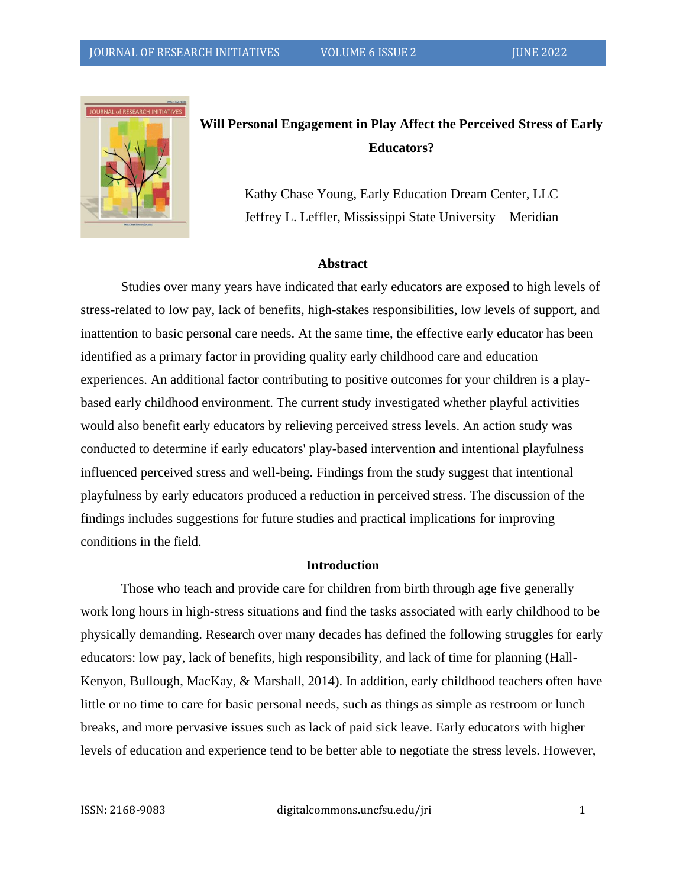

# **Will Personal Engagement in Play Affect the Perceived Stress of Early Educators?**

Kathy Chase Young, Early Education Dream Center, LLC Jeffrey L. Leffler, Mississippi State University – Meridian

#### **Abstract**

Studies over many years have indicated that early educators are exposed to high levels of stress-related to low pay, lack of benefits, high-stakes responsibilities, low levels of support, and inattention to basic personal care needs. At the same time, the effective early educator has been identified as a primary factor in providing quality early childhood care and education experiences. An additional factor contributing to positive outcomes for your children is a playbased early childhood environment. The current study investigated whether playful activities would also benefit early educators by relieving perceived stress levels. An action study was conducted to determine if early educators' play-based intervention and intentional playfulness influenced perceived stress and well-being. Findings from the study suggest that intentional playfulness by early educators produced a reduction in perceived stress. The discussion of the findings includes suggestions for future studies and practical implications for improving conditions in the field.

#### **Introduction**

Those who teach and provide care for children from birth through age five generally work long hours in high-stress situations and find the tasks associated with early childhood to be physically demanding. Research over many decades has defined the following struggles for early educators: low pay, lack of benefits, high responsibility, and lack of time for planning (Hall-Kenyon, Bullough, MacKay, & Marshall, 2014). In addition, early childhood teachers often have little or no time to care for basic personal needs, such as things as simple as restroom or lunch breaks, and more pervasive issues such as lack of paid sick leave. Early educators with higher levels of education and experience tend to be better able to negotiate the stress levels. However,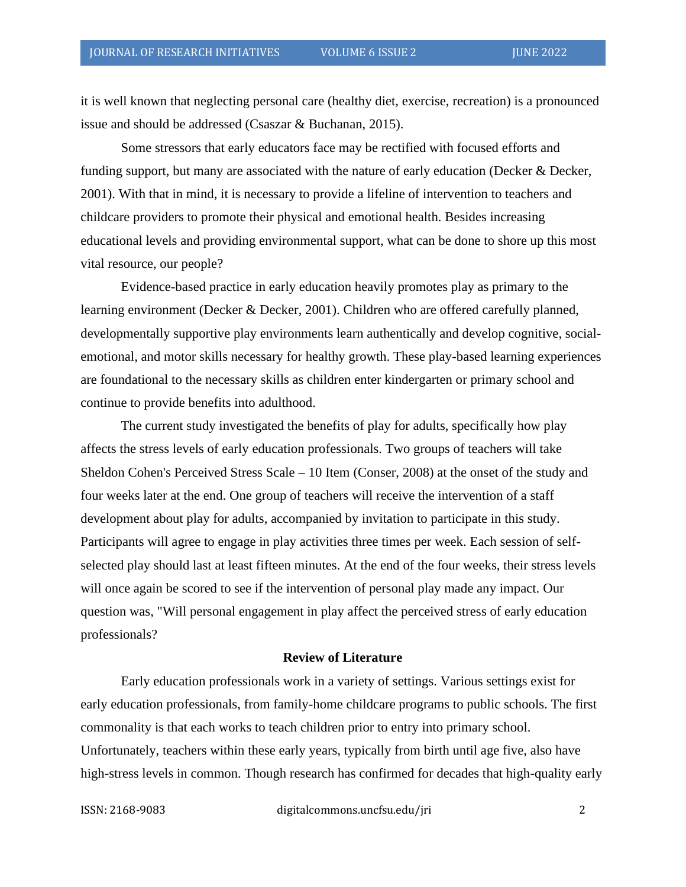it is well known that neglecting personal care (healthy diet, exercise, recreation) is a pronounced issue and should be addressed (Csaszar & Buchanan, 2015).

Some stressors that early educators face may be rectified with focused efforts and funding support, but many are associated with the nature of early education (Decker & Decker, 2001). With that in mind, it is necessary to provide a lifeline of intervention to teachers and childcare providers to promote their physical and emotional health. Besides increasing educational levels and providing environmental support, what can be done to shore up this most vital resource, our people?

Evidence-based practice in early education heavily promotes play as primary to the learning environment (Decker & Decker, 2001). Children who are offered carefully planned, developmentally supportive play environments learn authentically and develop cognitive, socialemotional, and motor skills necessary for healthy growth. These play-based learning experiences are foundational to the necessary skills as children enter kindergarten or primary school and continue to provide benefits into adulthood.

The current study investigated the benefits of play for adults, specifically how play affects the stress levels of early education professionals. Two groups of teachers will take Sheldon Cohen's Perceived Stress Scale – 10 Item (Conser, 2008) at the onset of the study and four weeks later at the end. One group of teachers will receive the intervention of a staff development about play for adults, accompanied by invitation to participate in this study. Participants will agree to engage in play activities three times per week. Each session of selfselected play should last at least fifteen minutes. At the end of the four weeks, their stress levels will once again be scored to see if the intervention of personal play made any impact. Our question was, "Will personal engagement in play affect the perceived stress of early education professionals?

#### **Review of Literature**

Early education professionals work in a variety of settings. Various settings exist for early education professionals, from family-home childcare programs to public schools. The first commonality is that each works to teach children prior to entry into primary school. Unfortunately, teachers within these early years, typically from birth until age five, also have high-stress levels in common. Though research has confirmed for decades that high-quality early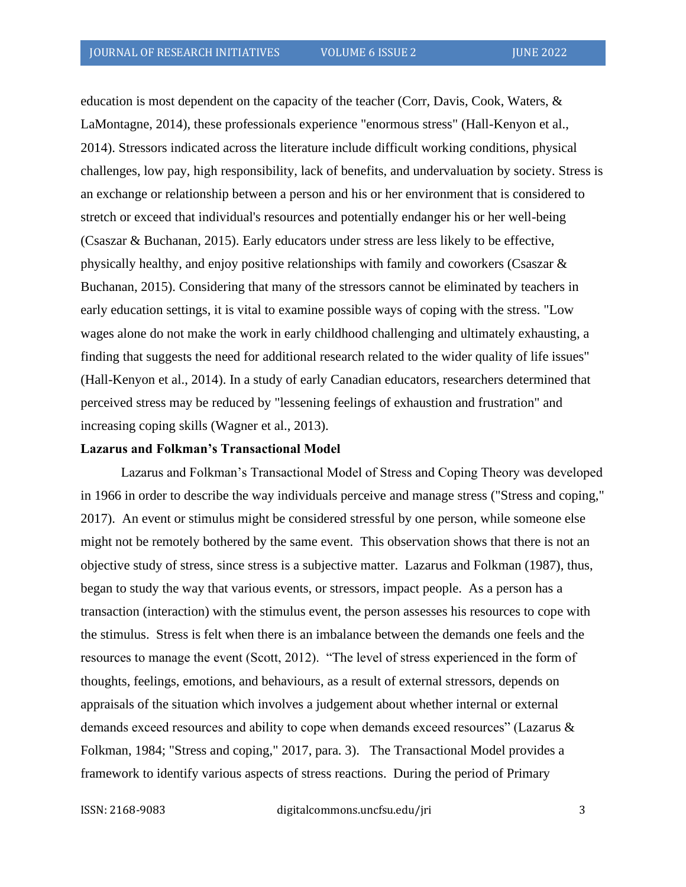education is most dependent on the capacity of the teacher (Corr, Davis, Cook, Waters, & LaMontagne, 2014), these professionals experience "enormous stress" (Hall-Kenyon et al., 2014). Stressors indicated across the literature include difficult working conditions, physical challenges, low pay, high responsibility, lack of benefits, and undervaluation by society. Stress is an exchange or relationship between a person and his or her environment that is considered to stretch or exceed that individual's resources and potentially endanger his or her well-being (Csaszar & Buchanan, 2015). Early educators under stress are less likely to be effective, physically healthy, and enjoy positive relationships with family and coworkers (Csaszar & Buchanan, 2015). Considering that many of the stressors cannot be eliminated by teachers in early education settings, it is vital to examine possible ways of coping with the stress. "Low wages alone do not make the work in early childhood challenging and ultimately exhausting, a finding that suggests the need for additional research related to the wider quality of life issues" (Hall-Kenyon et al., 2014). In a study of early Canadian educators, researchers determined that perceived stress may be reduced by "lessening feelings of exhaustion and frustration" and increasing coping skills (Wagner et al., 2013).

#### **Lazarus and Folkman's Transactional Model**

Lazarus and Folkman's Transactional Model of Stress and Coping Theory was developed in 1966 in order to describe the way individuals perceive and manage stress ("Stress and coping," 2017). An event or stimulus might be considered stressful by one person, while someone else might not be remotely bothered by the same event. This observation shows that there is not an objective study of stress, since stress is a subjective matter. Lazarus and Folkman (1987), thus, began to study the way that various events, or stressors, impact people. As a person has a transaction (interaction) with the stimulus event, the person assesses his resources to cope with the stimulus. Stress is felt when there is an imbalance between the demands one feels and the resources to manage the event (Scott, 2012). "The level of stress experienced in the form of thoughts, feelings, emotions, and behaviours, as a result of external stressors, depends on appraisals of the situation which involves a judgement about whether internal or external demands exceed resources and ability to cope when demands exceed resources" (Lazarus & Folkman, 1984; "Stress and coping," 2017, para. 3). The Transactional Model provides a framework to identify various aspects of stress reactions. During the period of Primary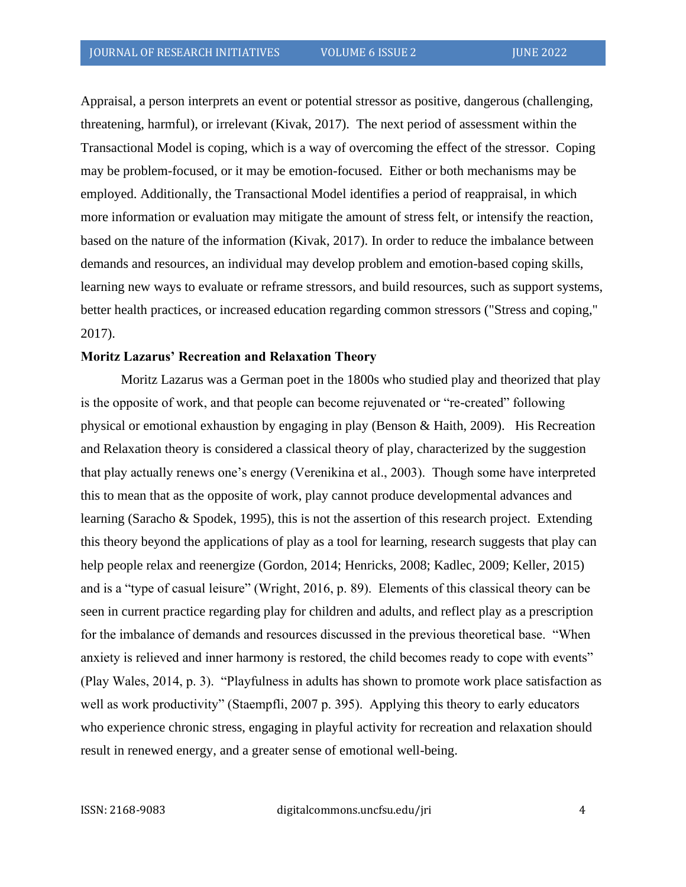Appraisal, a person interprets an event or potential stressor as positive, dangerous (challenging, threatening, harmful), or irrelevant (Kivak, 2017). The next period of assessment within the Transactional Model is coping, which is a way of overcoming the effect of the stressor. Coping may be problem-focused, or it may be emotion-focused. Either or both mechanisms may be employed. Additionally, the Transactional Model identifies a period of reappraisal, in which more information or evaluation may mitigate the amount of stress felt, or intensify the reaction, based on the nature of the information (Kivak, 2017). In order to reduce the imbalance between demands and resources, an individual may develop problem and emotion-based coping skills, learning new ways to evaluate or reframe stressors, and build resources, such as support systems, better health practices, or increased education regarding common stressors ("Stress and coping," 2017).

#### **Moritz Lazarus' Recreation and Relaxation Theory**

Moritz Lazarus was a German poet in the 1800s who studied play and theorized that play is the opposite of work, and that people can become rejuvenated or "re-created" following physical or emotional exhaustion by engaging in play (Benson & Haith, 2009). His Recreation and Relaxation theory is considered a classical theory of play, characterized by the suggestion that play actually renews one's energy (Verenikina et al., 2003). Though some have interpreted this to mean that as the opposite of work, play cannot produce developmental advances and learning (Saracho & Spodek, 1995), this is not the assertion of this research project. Extending this theory beyond the applications of play as a tool for learning, research suggests that play can help people relax and reenergize (Gordon, 2014; Henricks, 2008; Kadlec, 2009; Keller, 2015) and is a "type of casual leisure" (Wright, 2016, p. 89). Elements of this classical theory can be seen in current practice regarding play for children and adults, and reflect play as a prescription for the imbalance of demands and resources discussed in the previous theoretical base. "When anxiety is relieved and inner harmony is restored, the child becomes ready to cope with events" (Play Wales, 2014, p. 3). "Playfulness in adults has shown to promote work place satisfaction as well as work productivity" (Staempfli, 2007 p. 395). Applying this theory to early educators who experience chronic stress, engaging in playful activity for recreation and relaxation should result in renewed energy, and a greater sense of emotional well-being.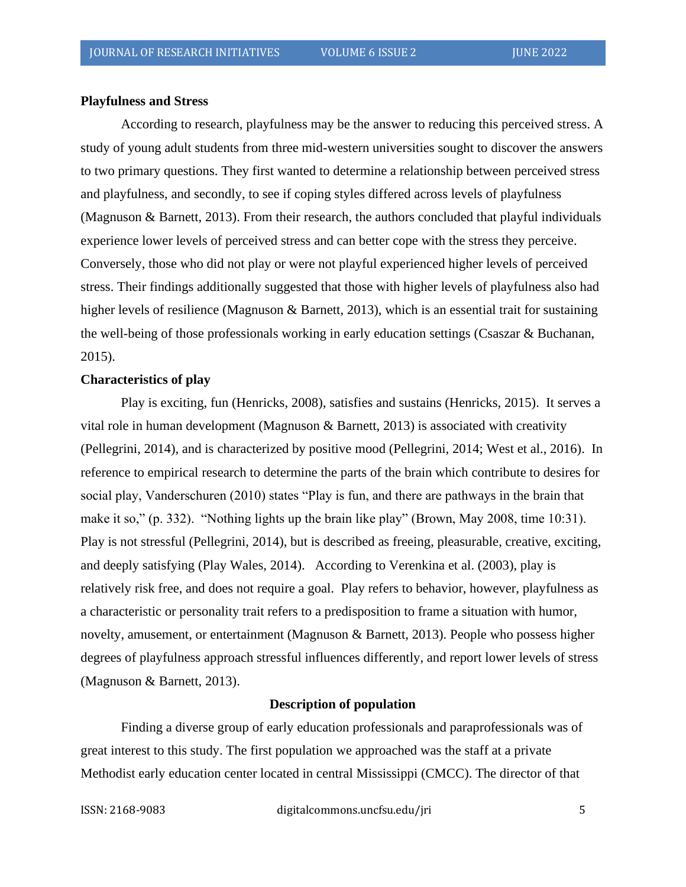#### **Playfulness and Stress**

According to research, playfulness may be the answer to reducing this perceived stress. A study of young adult students from three mid-western universities sought to discover the answers to two primary questions. They first wanted to determine a relationship between perceived stress and playfulness, and secondly, to see if coping styles differed across levels of playfulness (Magnuson & Barnett, 2013). From their research, the authors concluded that playful individuals experience lower levels of perceived stress and can better cope with the stress they perceive. Conversely, those who did not play or were not playful experienced higher levels of perceived stress. Their findings additionally suggested that those with higher levels of playfulness also had higher levels of resilience (Magnuson & Barnett, 2013), which is an essential trait for sustaining the well-being of those professionals working in early education settings (Csaszar & Buchanan, 2015).

#### **Characteristics of play**

Play is exciting, fun (Henricks, 2008), satisfies and sustains (Henricks, 2015). It serves a vital role in human development (Magnuson & Barnett, 2013) is associated with creativity (Pellegrini, 2014), and is characterized by positive mood (Pellegrini, 2014; West et al., 2016). In reference to empirical research to determine the parts of the brain which contribute to desires for social play, Vanderschuren (2010) states "Play is fun, and there are pathways in the brain that make it so," (p. 332). "Nothing lights up the brain like play" (Brown, May 2008, time 10:31). Play is not stressful (Pellegrini, 2014), but is described as freeing, pleasurable, creative, exciting, and deeply satisfying (Play Wales, 2014). According to Verenkina et al. (2003), play is relatively risk free, and does not require a goal. Play refers to behavior, however, playfulness as a characteristic or personality trait refers to a predisposition to frame a situation with humor, novelty, amusement, or entertainment (Magnuson & Barnett, 2013). People who possess higher degrees of playfulness approach stressful influences differently, and report lower levels of stress (Magnuson & Barnett, 2013).

#### **Description of population**

Finding a diverse group of early education professionals and paraprofessionals was of great interest to this study. The first population we approached was the staff at a private Methodist early education center located in central Mississippi (CMCC). The director of that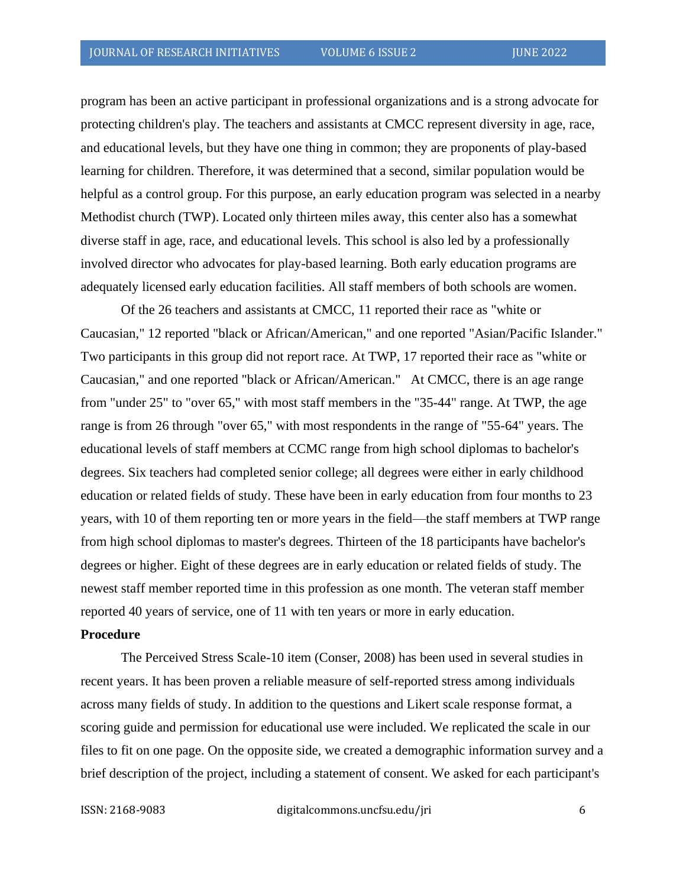program has been an active participant in professional organizations and is a strong advocate for protecting children's play. The teachers and assistants at CMCC represent diversity in age, race, and educational levels, but they have one thing in common; they are proponents of play-based learning for children. Therefore, it was determined that a second, similar population would be helpful as a control group. For this purpose, an early education program was selected in a nearby Methodist church (TWP). Located only thirteen miles away, this center also has a somewhat diverse staff in age, race, and educational levels. This school is also led by a professionally involved director who advocates for play-based learning. Both early education programs are adequately licensed early education facilities. All staff members of both schools are women.

Of the 26 teachers and assistants at CMCC, 11 reported their race as "white or Caucasian," 12 reported "black or African/American," and one reported "Asian/Pacific Islander." Two participants in this group did not report race. At TWP, 17 reported their race as "white or Caucasian," and one reported "black or African/American." At CMCC, there is an age range from "under 25" to "over 65," with most staff members in the "35-44" range. At TWP, the age range is from 26 through "over 65," with most respondents in the range of "55-64" years. The educational levels of staff members at CCMC range from high school diplomas to bachelor's degrees. Six teachers had completed senior college; all degrees were either in early childhood education or related fields of study. These have been in early education from four months to 23 years, with 10 of them reporting ten or more years in the field—the staff members at TWP range from high school diplomas to master's degrees. Thirteen of the 18 participants have bachelor's degrees or higher. Eight of these degrees are in early education or related fields of study. The newest staff member reported time in this profession as one month. The veteran staff member reported 40 years of service, one of 11 with ten years or more in early education.

#### **Procedure**

The Perceived Stress Scale-10 item (Conser, 2008) has been used in several studies in recent years. It has been proven a reliable measure of self-reported stress among individuals across many fields of study. In addition to the questions and Likert scale response format, a scoring guide and permission for educational use were included. We replicated the scale in our files to fit on one page. On the opposite side, we created a demographic information survey and a brief description of the project, including a statement of consent. We asked for each participant's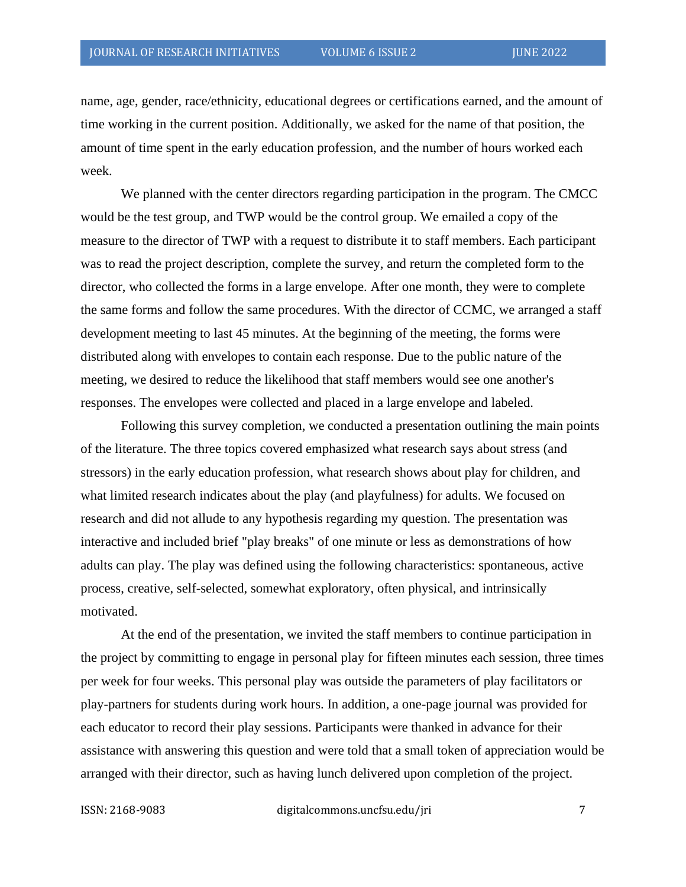name, age, gender, race/ethnicity, educational degrees or certifications earned, and the amount of time working in the current position. Additionally, we asked for the name of that position, the amount of time spent in the early education profession, and the number of hours worked each week.

We planned with the center directors regarding participation in the program. The CMCC would be the test group, and TWP would be the control group. We emailed a copy of the measure to the director of TWP with a request to distribute it to staff members. Each participant was to read the project description, complete the survey, and return the completed form to the director, who collected the forms in a large envelope. After one month, they were to complete the same forms and follow the same procedures. With the director of CCMC, we arranged a staff development meeting to last 45 minutes. At the beginning of the meeting, the forms were distributed along with envelopes to contain each response. Due to the public nature of the meeting, we desired to reduce the likelihood that staff members would see one another's responses. The envelopes were collected and placed in a large envelope and labeled.

Following this survey completion, we conducted a presentation outlining the main points of the literature. The three topics covered emphasized what research says about stress (and stressors) in the early education profession, what research shows about play for children, and what limited research indicates about the play (and playfulness) for adults. We focused on research and did not allude to any hypothesis regarding my question. The presentation was interactive and included brief "play breaks" of one minute or less as demonstrations of how adults can play. The play was defined using the following characteristics: spontaneous, active process, creative, self-selected, somewhat exploratory, often physical, and intrinsically motivated.

At the end of the presentation, we invited the staff members to continue participation in the project by committing to engage in personal play for fifteen minutes each session, three times per week for four weeks. This personal play was outside the parameters of play facilitators or play-partners for students during work hours. In addition, a one-page journal was provided for each educator to record their play sessions. Participants were thanked in advance for their assistance with answering this question and were told that a small token of appreciation would be arranged with their director, such as having lunch delivered upon completion of the project.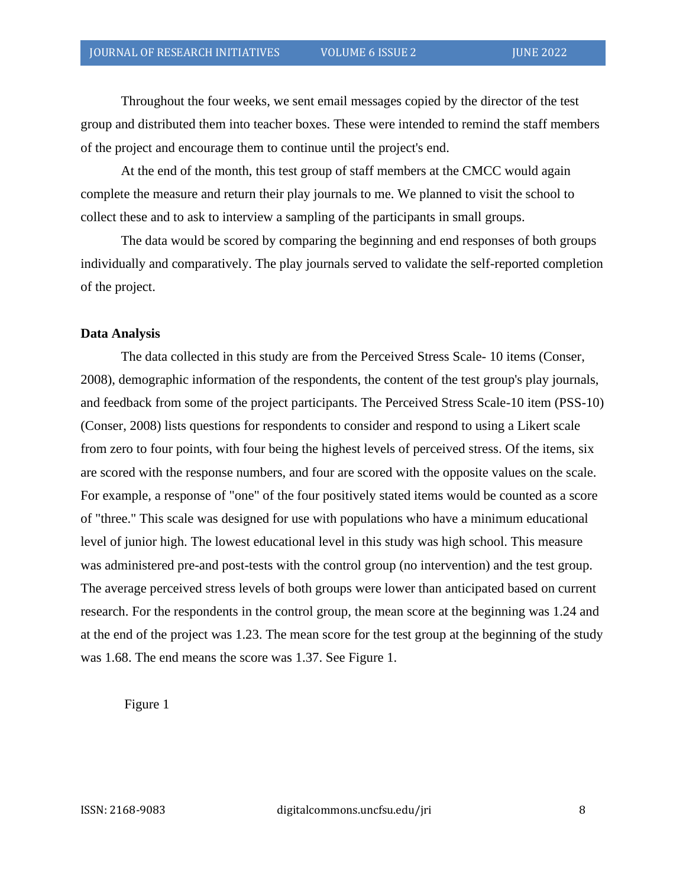Throughout the four weeks, we sent email messages copied by the director of the test group and distributed them into teacher boxes. These were intended to remind the staff members of the project and encourage them to continue until the project's end.

At the end of the month, this test group of staff members at the CMCC would again complete the measure and return their play journals to me. We planned to visit the school to collect these and to ask to interview a sampling of the participants in small groups.

The data would be scored by comparing the beginning and end responses of both groups individually and comparatively. The play journals served to validate the self-reported completion of the project.

#### **Data Analysis**

The data collected in this study are from the Perceived Stress Scale- 10 items (Conser, 2008), demographic information of the respondents, the content of the test group's play journals, and feedback from some of the project participants. The Perceived Stress Scale-10 item (PSS-10) (Conser, 2008) lists questions for respondents to consider and respond to using a Likert scale from zero to four points, with four being the highest levels of perceived stress. Of the items, six are scored with the response numbers, and four are scored with the opposite values on the scale. For example, a response of "one" of the four positively stated items would be counted as a score of "three." This scale was designed for use with populations who have a minimum educational level of junior high. The lowest educational level in this study was high school. This measure was administered pre-and post-tests with the control group (no intervention) and the test group. The average perceived stress levels of both groups were lower than anticipated based on current research. For the respondents in the control group, the mean score at the beginning was 1.24 and at the end of the project was 1.23. The mean score for the test group at the beginning of the study was 1.68. The end means the score was 1.37. See Figure 1.

Figure 1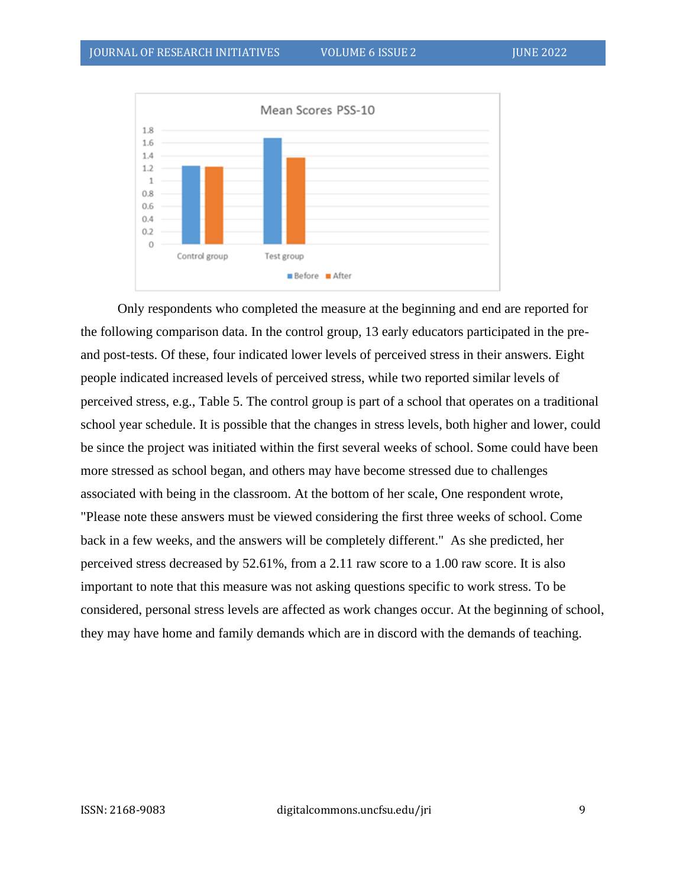

 Only respondents who completed the measure at the beginning and end are reported for the following comparison data. In the control group, 13 early educators participated in the preand post-tests. Of these, four indicated lower levels of perceived stress in their answers. Eight people indicated increased levels of perceived stress, while two reported similar levels of perceived stress, e.g., Table 5. The control group is part of a school that operates on a traditional school year schedule. It is possible that the changes in stress levels, both higher and lower, could be since the project was initiated within the first several weeks of school. Some could have been more stressed as school began, and others may have become stressed due to challenges associated with being in the classroom. At the bottom of her scale, One respondent wrote, "Please note these answers must be viewed considering the first three weeks of school. Come back in a few weeks, and the answers will be completely different." As she predicted, her perceived stress decreased by 52.61%, from a 2.11 raw score to a 1.00 raw score. It is also important to note that this measure was not asking questions specific to work stress. To be considered, personal stress levels are affected as work changes occur. At the beginning of school, they may have home and family demands which are in discord with the demands of teaching.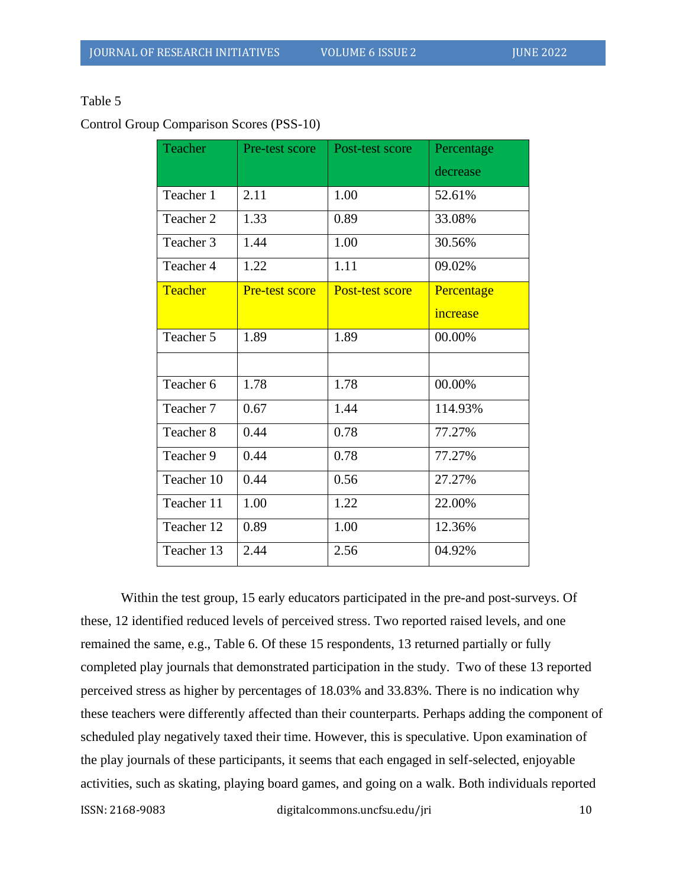### Table 5

Control Group Comparison Scores (PSS-10)

| Teacher        | Pre-test score | Post-test score | Percentage |
|----------------|----------------|-----------------|------------|
|                |                |                 | decrease   |
| Teacher 1      | 2.11           | 1.00            | 52.61%     |
| Teacher 2      | 1.33           | 0.89            | 33.08%     |
| Teacher 3      | 1.44           | 1.00            | 30.56%     |
| Teacher 4      | 1.22           | 1.11            | 09.02%     |
| <b>Teacher</b> | Pre-test score | Post-test score | Percentage |
|                |                |                 | increase   |
| Teacher 5      | 1.89           | 1.89            | 00.00%     |
|                |                |                 |            |
| Teacher 6      | 1.78           | 1.78            | 00.00%     |
| Teacher 7      | 0.67           | 1.44            | 114.93%    |
| Teacher 8      | 0.44           | 0.78            | 77.27%     |
| Teacher 9      | 0.44           | 0.78            | 77.27%     |
| Teacher 10     | 0.44           | 0.56            | 27.27%     |
| Teacher 11     | 1.00           | 1.22            | 22.00%     |
| Teacher 12     | 0.89           | 1.00            | 12.36%     |
| Teacher 13     | 2.44           | 2.56            | 04.92%     |

Within the test group, 15 early educators participated in the pre-and post-surveys. Of these, 12 identified reduced levels of perceived stress. Two reported raised levels, and one remained the same, e.g., Table 6. Of these 15 respondents, 13 returned partially or fully completed play journals that demonstrated participation in the study. Two of these 13 reported perceived stress as higher by percentages of 18.03% and 33.83%. There is no indication why these teachers were differently affected than their counterparts. Perhaps adding the component of scheduled play negatively taxed their time. However, this is speculative. Upon examination of the play journals of these participants, it seems that each engaged in self-selected, enjoyable activities, such as skating, playing board games, and going on a walk. Both individuals reported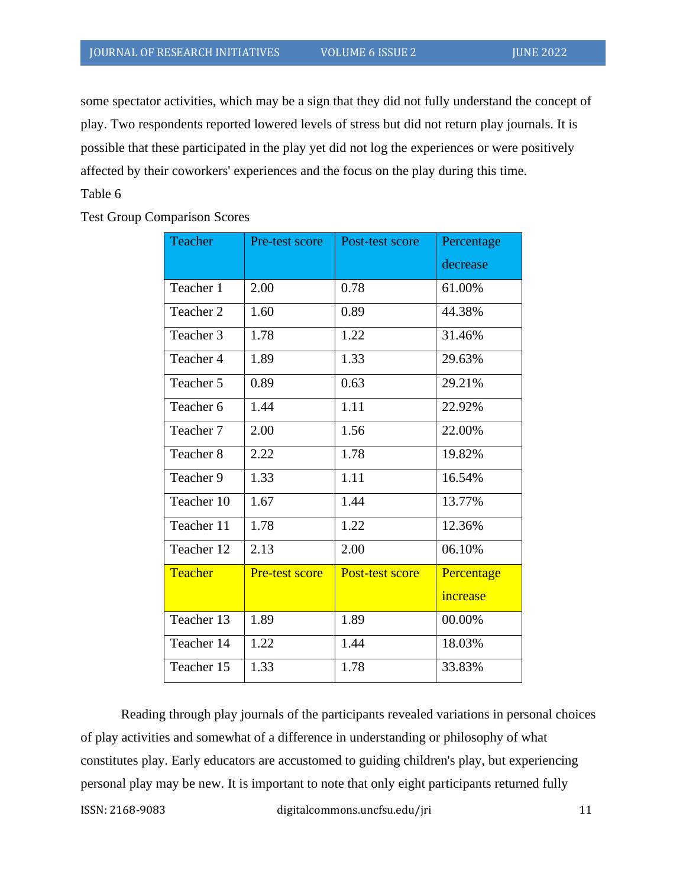some spectator activities, which may be a sign that they did not fully understand the concept of play. Two respondents reported lowered levels of stress but did not return play journals. It is possible that these participated in the play yet did not log the experiences or were positively affected by their coworkers' experiences and the focus on the play during this time.

#### Table 6

Test Group Comparison Scores

| <b>Teacher</b> | Pre-test score        | Post-test score        | Percentage |
|----------------|-----------------------|------------------------|------------|
|                |                       |                        | decrease   |
| Teacher 1      | 2.00                  | 0.78                   | 61.00%     |
| Teacher 2      | 1.60                  | 0.89                   | 44.38%     |
| Teacher 3      | 1.78                  | 1.22                   | 31.46%     |
| Teacher 4      | 1.89                  | 1.33                   | 29.63%     |
| Teacher 5      | 0.89                  | 0.63                   | 29.21%     |
| Teacher 6      | 1.44                  | 1.11                   | 22.92%     |
| Teacher 7      | 2.00                  | 1.56                   | 22.00%     |
| Teacher 8      | 2.22                  | 1.78                   | 19.82%     |
| Teacher 9      | 1.33                  | 1.11                   | 16.54%     |
| Teacher 10     | 1.67                  | 1.44                   | 13.77%     |
| Teacher 11     | 1.78                  | 1.22                   | 12.36%     |
| Teacher 12     | 2.13                  | 2.00                   | 06.10%     |
| Teacher        | <b>Pre-test score</b> | <b>Post-test score</b> | Percentage |
|                |                       |                        | increase   |
| Teacher 13     | 1.89                  | 1.89                   | 00.00%     |
| Teacher 14     | 1.22                  | 1.44                   | 18.03%     |
| Teacher 15     | 1.33                  | 1.78                   | 33.83%     |

Reading through play journals of the participants revealed variations in personal choices of play activities and somewhat of a difference in understanding or philosophy of what constitutes play. Early educators are accustomed to guiding children's play, but experiencing personal play may be new. It is important to note that only eight participants returned fully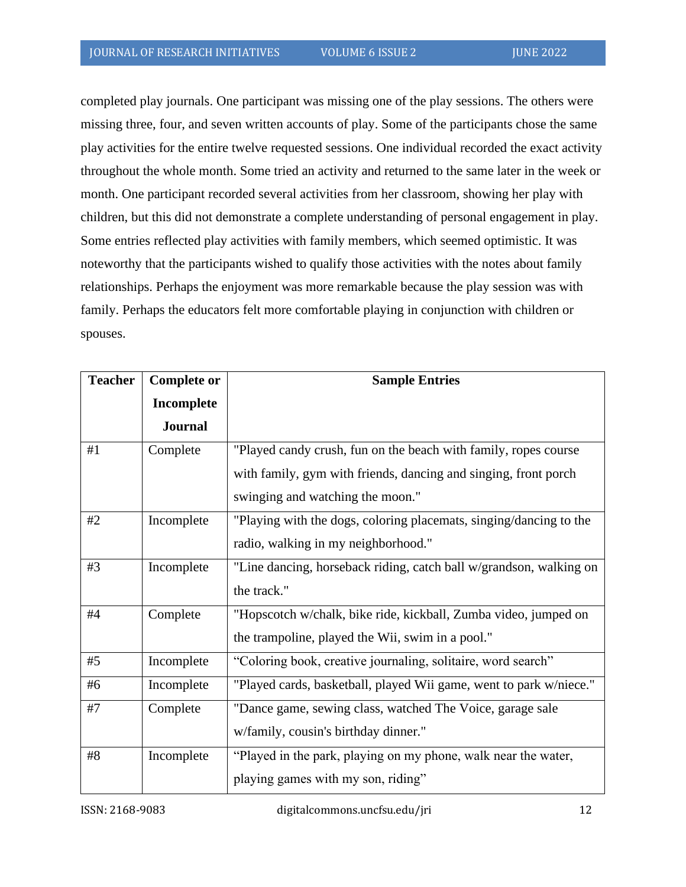completed play journals. One participant was missing one of the play sessions. The others were missing three, four, and seven written accounts of play. Some of the participants chose the same play activities for the entire twelve requested sessions. One individual recorded the exact activity throughout the whole month. Some tried an activity and returned to the same later in the week or month. One participant recorded several activities from her classroom, showing her play with children, but this did not demonstrate a complete understanding of personal engagement in play. Some entries reflected play activities with family members, which seemed optimistic. It was noteworthy that the participants wished to qualify those activities with the notes about family relationships. Perhaps the enjoyment was more remarkable because the play session was with family. Perhaps the educators felt more comfortable playing in conjunction with children or spouses.

| <b>Teacher</b> | <b>Complete or</b> | <b>Sample Entries</b>                                              |
|----------------|--------------------|--------------------------------------------------------------------|
|                | Incomplete         |                                                                    |
|                | <b>Journal</b>     |                                                                    |
| #1             | Complete           | "Played candy crush, fun on the beach with family, ropes course    |
|                |                    | with family, gym with friends, dancing and singing, front porch    |
|                |                    | swinging and watching the moon."                                   |
| #2             | Incomplete         | "Playing with the dogs, coloring placemats, singing/dancing to the |
|                |                    | radio, walking in my neighborhood."                                |
| #3             | Incomplete         | "Line dancing, horseback riding, catch ball w/grandson, walking on |
|                |                    | the track."                                                        |
| #4             | Complete           | "Hopscotch w/chalk, bike ride, kickball, Zumba video, jumped on    |
|                |                    | the trampoline, played the Wii, swim in a pool."                   |
| #5             | Incomplete         | "Coloring book, creative journaling, solitaire, word search"       |
| #6             | Incomplete         | "Played cards, basketball, played Wii game, went to park w/niece." |
| #7             | Complete           | "Dance game, sewing class, watched The Voice, garage sale          |
|                |                    | w/family, cousin's birthday dinner."                               |
| #8             | Incomplete         | "Played in the park, playing on my phone, walk near the water,     |
|                |                    | playing games with my son, riding"                                 |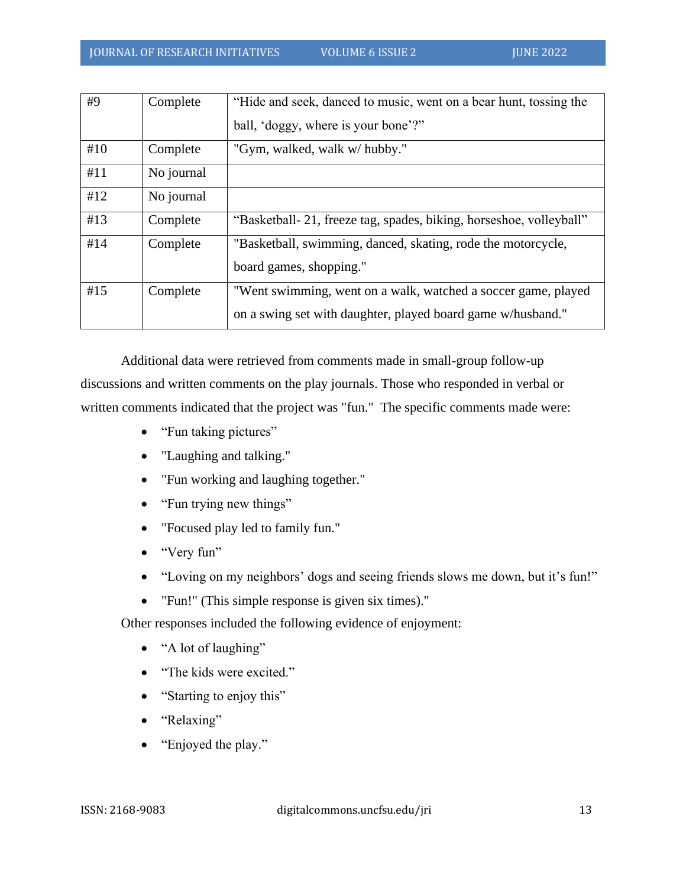| #9  | Complete   | "Hide and seek, danced to music, went on a bear hunt, tossing the   |
|-----|------------|---------------------------------------------------------------------|
|     |            | ball, 'doggy, where is your bone'?"                                 |
| #10 | Complete   | "Gym, walked, walk w/ hubby."                                       |
| #11 | No journal |                                                                     |
| #12 | No journal |                                                                     |
| #13 | Complete   | "Basketball- 21, freeze tag, spades, biking, horseshoe, volleyball" |
| #14 | Complete   | "Basketball, swimming, danced, skating, rode the motorcycle,        |
|     |            | board games, shopping."                                             |
| #15 | Complete   | "Went swimming, went on a walk, watched a soccer game, played       |
|     |            | on a swing set with daughter, played board game w/husband."         |

Additional data were retrieved from comments made in small-group follow-up discussions and written comments on the play journals. Those who responded in verbal or written comments indicated that the project was "fun." The specific comments made were:

- "Fun taking pictures"
- "Laughing and talking."
- "Fun working and laughing together."
- "Fun trying new things"
- "Focused play led to family fun."
- "Very fun"
- "Loving on my neighbors' dogs and seeing friends slows me down, but it's fun!"
- "Fun!" (This simple response is given six times)."

Other responses included the following evidence of enjoyment:

- "A lot of laughing"
- "The kids were excited."
- "Starting to enjoy this"
- "Relaxing"
- "Enjoyed the play."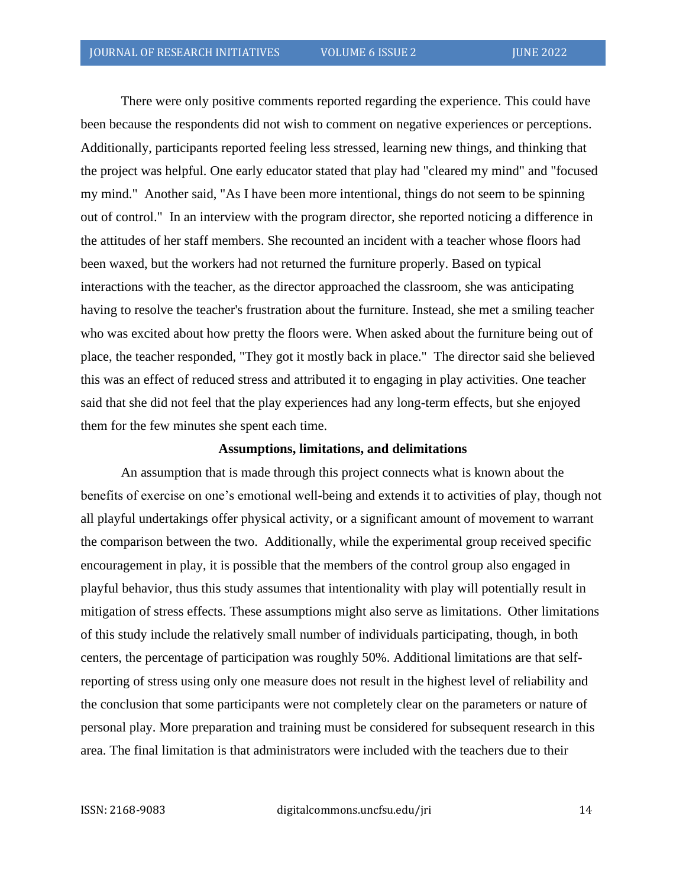There were only positive comments reported regarding the experience. This could have been because the respondents did not wish to comment on negative experiences or perceptions. Additionally, participants reported feeling less stressed, learning new things, and thinking that the project was helpful. One early educator stated that play had "cleared my mind" and "focused my mind." Another said, "As I have been more intentional, things do not seem to be spinning out of control." In an interview with the program director, she reported noticing a difference in the attitudes of her staff members. She recounted an incident with a teacher whose floors had been waxed, but the workers had not returned the furniture properly. Based on typical interactions with the teacher, as the director approached the classroom, she was anticipating having to resolve the teacher's frustration about the furniture. Instead, she met a smiling teacher who was excited about how pretty the floors were. When asked about the furniture being out of place, the teacher responded, "They got it mostly back in place." The director said she believed this was an effect of reduced stress and attributed it to engaging in play activities. One teacher said that she did not feel that the play experiences had any long-term effects, but she enjoyed them for the few minutes she spent each time.

#### **Assumptions, limitations, and delimitations**

An assumption that is made through this project connects what is known about the benefits of exercise on one's emotional well-being and extends it to activities of play, though not all playful undertakings offer physical activity, or a significant amount of movement to warrant the comparison between the two. Additionally, while the experimental group received specific encouragement in play, it is possible that the members of the control group also engaged in playful behavior, thus this study assumes that intentionality with play will potentially result in mitigation of stress effects. These assumptions might also serve as limitations. Other limitations of this study include the relatively small number of individuals participating, though, in both centers, the percentage of participation was roughly 50%. Additional limitations are that selfreporting of stress using only one measure does not result in the highest level of reliability and the conclusion that some participants were not completely clear on the parameters or nature of personal play. More preparation and training must be considered for subsequent research in this area. The final limitation is that administrators were included with the teachers due to their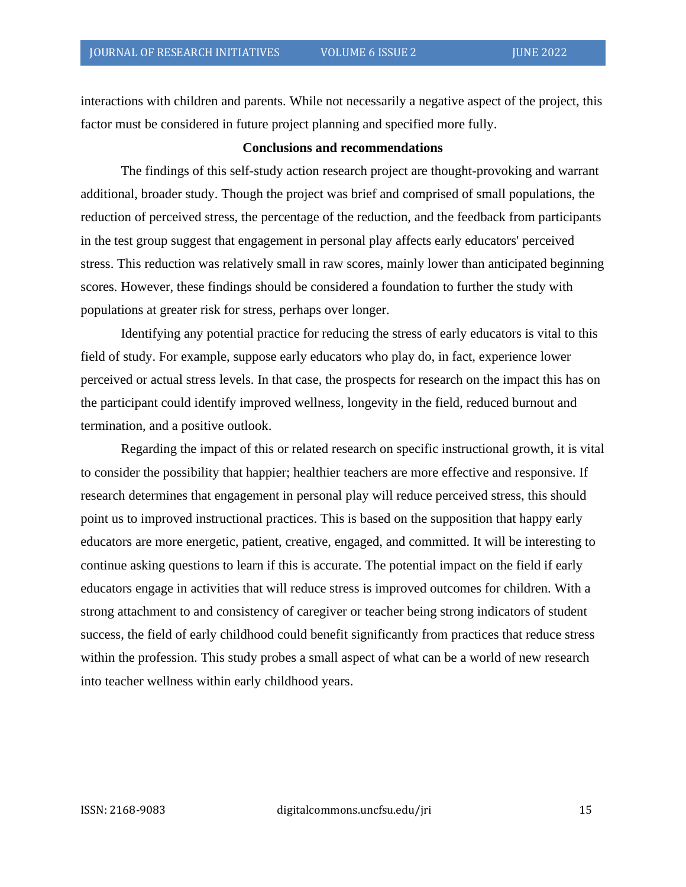interactions with children and parents. While not necessarily a negative aspect of the project, this factor must be considered in future project planning and specified more fully.

#### **Conclusions and recommendations**

The findings of this self-study action research project are thought-provoking and warrant additional, broader study. Though the project was brief and comprised of small populations, the reduction of perceived stress, the percentage of the reduction, and the feedback from participants in the test group suggest that engagement in personal play affects early educators' perceived stress. This reduction was relatively small in raw scores, mainly lower than anticipated beginning scores. However, these findings should be considered a foundation to further the study with populations at greater risk for stress, perhaps over longer.

Identifying any potential practice for reducing the stress of early educators is vital to this field of study. For example, suppose early educators who play do, in fact, experience lower perceived or actual stress levels. In that case, the prospects for research on the impact this has on the participant could identify improved wellness, longevity in the field, reduced burnout and termination, and a positive outlook.

Regarding the impact of this or related research on specific instructional growth, it is vital to consider the possibility that happier; healthier teachers are more effective and responsive. If research determines that engagement in personal play will reduce perceived stress, this should point us to improved instructional practices. This is based on the supposition that happy early educators are more energetic, patient, creative, engaged, and committed. It will be interesting to continue asking questions to learn if this is accurate. The potential impact on the field if early educators engage in activities that will reduce stress is improved outcomes for children. With a strong attachment to and consistency of caregiver or teacher being strong indicators of student success, the field of early childhood could benefit significantly from practices that reduce stress within the profession. This study probes a small aspect of what can be a world of new research into teacher wellness within early childhood years.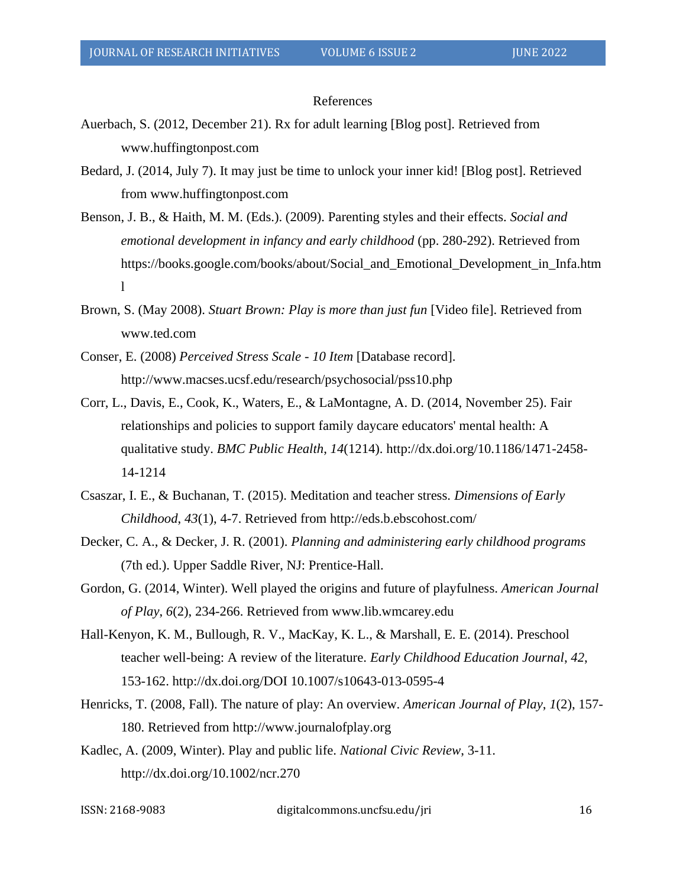#### References

- Auerbach, S. (2012, December 21). Rx for adult learning [Blog post]. Retrieved from www.huffingtonpost.com
- Bedard, J. (2014, July 7). It may just be time to unlock your inner kid! [Blog post]. Retrieved from www.huffingtonpost.com
- Benson, J. B., & Haith, M. M. (Eds.). (2009). Parenting styles and their effects. *Social and emotional development in infancy and early childhood* (pp. 280-292). Retrieved from https://books.google.com/books/about/Social\_and\_Emotional\_Development\_in\_Infa.htm l
- Brown, S. (May 2008). *Stuart Brown: Play is more than just fun* [Video file]. Retrieved from www.ted.com
- Conser, E. (2008) *Perceived Stress Scale - 10 Item* [Database record]. http://www.macses.ucsf.edu/research/psychosocial/pss10.php
- Corr, L., Davis, E., Cook, K., Waters, E., & LaMontagne, A. D. (2014, November 25). Fair relationships and policies to support family daycare educators' mental health: A qualitative study. *BMC Public Health*, *14*(1214). http://dx.doi.org/10.1186/1471-2458- 14-1214
- Csaszar, I. E., & Buchanan, T. (2015). Meditation and teacher stress. *Dimensions of Early Childhood*, *43*(1), 4-7. Retrieved from http://eds.b.ebscohost.com/
- Decker, C. A., & Decker, J. R. (2001). *Planning and administering early childhood programs* (7th ed.). Upper Saddle River, NJ: Prentice-Hall.
- Gordon, G. (2014, Winter). Well played the origins and future of playfulness. *American Journal of Play*, *6*(2), 234-266. Retrieved from www.lib.wmcarey.edu
- Hall-Kenyon, K. M., Bullough, R. V., MacKay, K. L., & Marshall, E. E. (2014). Preschool teacher well-being: A review of the literature. *Early Childhood Education Journal*, *42*, 153-162. http://dx.doi.org/DOI 10.1007/s10643-013-0595-4
- Henricks, T. (2008, Fall). The nature of play: An overview. *American Journal of Play*, *1*(2), 157- 180. Retrieved from http://www.journalofplay.org
- Kadlec, A. (2009, Winter). Play and public life. *National Civic Review*, 3-11. http://dx.doi.org/10.1002/ncr.270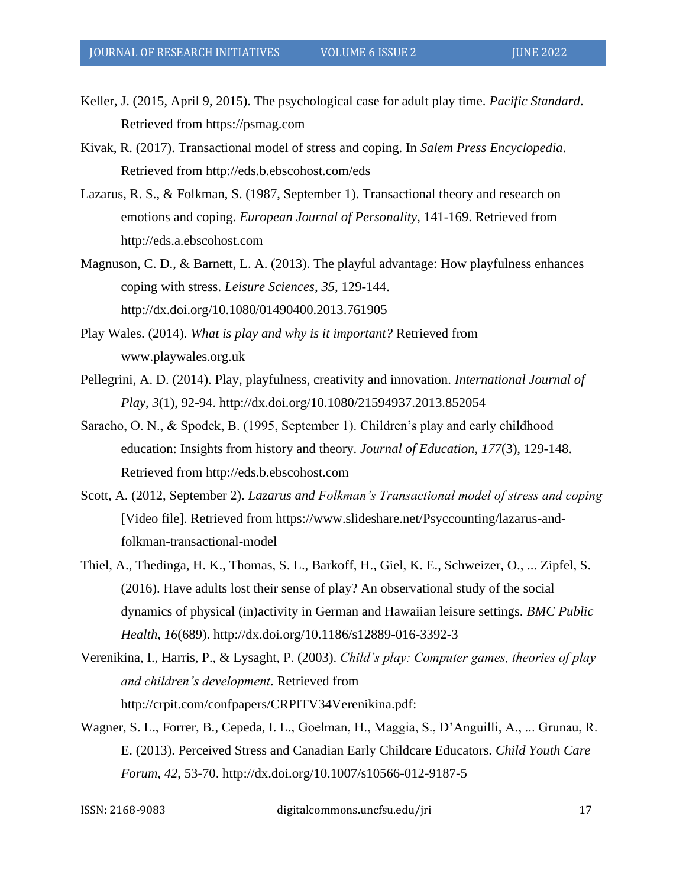- Keller, J. (2015, April 9, 2015). The psychological case for adult play time. *Pacific Standard*. Retrieved from https://psmag.com
- Kivak, R. (2017). Transactional model of stress and coping. In *Salem Press Encyclopedia*. Retrieved from http://eds.b.ebscohost.com/eds
- Lazarus, R. S., & Folkman, S. (1987, September 1). Transactional theory and research on emotions and coping. *European Journal of Personality*, 141-169. Retrieved from http://eds.a.ebscohost.com
- Magnuson, C. D., & Barnett, L. A. (2013). The playful advantage: How playfulness enhances coping with stress. *Leisure Sciences*, *35*, 129-144. http://dx.doi.org/10.1080/01490400.2013.761905
- Play Wales. (2014). *What is play and why is it important?* Retrieved from www.playwales.org.uk
- Pellegrini, A. D. (2014). Play, playfulness, creativity and innovation. *International Journal of Play*, *3*(1), 92-94. http://dx.doi.org/10.1080/21594937.2013.852054
- Saracho, O. N., & Spodek, B. (1995, September 1). Children's play and early childhood education: Insights from history and theory. *Journal of Education*, *177*(3), 129-148. Retrieved from http://eds.b.ebscohost.com
- Scott, A. (2012, September 2). *Lazarus and Folkman's Transactional model of stress and coping* [Video file]. Retrieved from https://www.slideshare.net/Psyccounting/lazarus-andfolkman-transactional-model
- Thiel, A., Thedinga, H. K., Thomas, S. L., Barkoff, H., Giel, K. E., Schweizer, O., ... Zipfel, S. (2016). Have adults lost their sense of play? An observational study of the social dynamics of physical (in)activity in German and Hawaiian leisure settings. *BMC Public Health*, *16*(689). http://dx.doi.org/10.1186/s12889-016-3392-3
- Verenikina, I., Harris, P., & Lysaght, P. (2003). *Child's play: Computer games, theories of play and children's development*. Retrieved from http://crpit.com/confpapers/CRPITV34Verenikina.pdf:
- Wagner, S. L., Forrer, B., Cepeda, I. L., Goelman, H., Maggia, S., D'Anguilli, A., ... Grunau, R. E. (2013). Perceived Stress and Canadian Early Childcare Educators. *Child Youth Care Forum*, *42*, 53-70. http://dx.doi.org/10.1007/s10566-012-9187-5